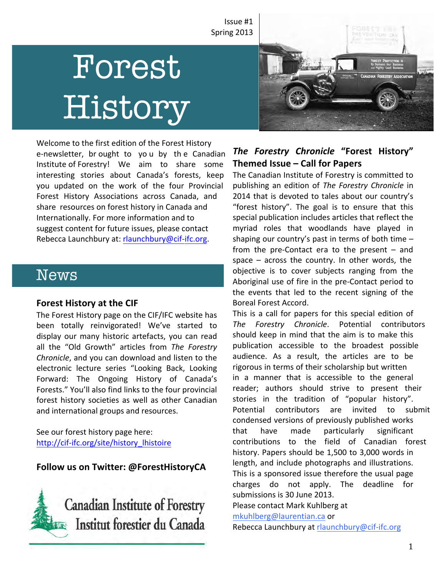Issue #1 Spring 2013

# Forest History



Welcome to the first edition of the Forest History e-newsletter, br ought to yo u by the Canadian Institute of Forestry! We aim to share some interesting stories about Canada's forests, keep you updated on the work of the four Provincial Forest History Associations across Canada, and share resources on forest history in Canada and Internationally. For more information and to suggest content for future issues, please contact Rebecca Launchbury at: rlaunchbury@cif-ifc.org.

# News

#### **Forest History at the CIF**

The Forest History page on the CIF/IFC website has been totally reinvigorated! We've started to display our many historic artefacts, you can read all the "Old Growth" articles from The Forestry *Chronicle*, and you can download and listen to the electronic lecture series "Looking Back, Looking Forward: The Ongoing History of Canada's Forests." You'll also find links to the four provincial forest history societies as well as other Canadian and international groups and resources.

See our forest history page here: http://cif-[ifc.org/site/history\\_lhistoire](http://cif-ifc.org/site/history_lhistoire)

## **Follow us on Twitter: @ForestHistoryCA**



# *The Forestry Chronicle* **"Forest History" Themed Issue – Call for Papers**

The Canadian Institute of Forestry is committed to publishing an edition of *The Forestry Chronicle* in 2014 that is devoted to tales about our country's "forest history". The goal is to ensure that this special publication includes articles that reflect the myriad roles that woodlands have played in shaping our country's past in terms of both time  $$ from the pre-Contact era to the present  $-$  and space  $-$  across the country. In other words, the objective is to cover subjects ranging from the Aboriginal use of fire in the pre-Contact period to the events that led to the recent signing of the Boreal Forest Accord.

This is a call for papers for this special edition of *The Forestry Chronicle*. Potential contributors should keep in mind that the aim is to make this publication accessible to the broadest possible audience. As a result, the articles are to be rigorous in terms of their scholarship but written in a manner that is accessible to the general reader; authors should strive to present their stories in the tradition of "popular history". Potential contributors are invited to submit condensed versions of previously published works that have made particularly significant contributions to the field of Canadian forest history. Papers should be 1,500 to 3,000 words in length, and include photographs and illustrations. This is a sponsored issue therefore the usual page charges do not apply. The deadline for submissions is 30 June 2013.

Please contact Mark Kuhlberg at

mkuhlberg@laurentian.ca or

Rebecca Launchbury at rlaunchbury@cif-ifc.org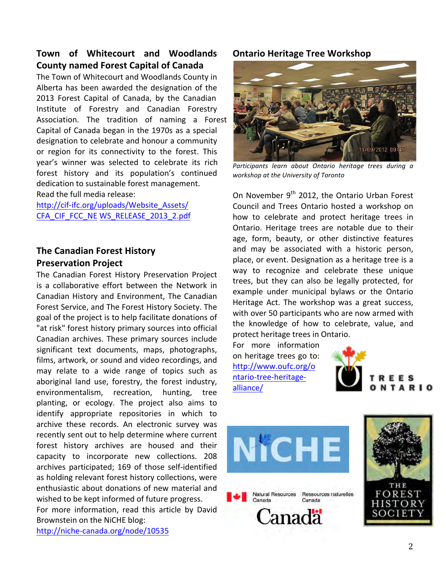# **Town of Whitecourt and Woodlands County named Forest Capital of Canada**

The Town of Whitecourt and Woodlands County in Alberta has been awarded the designation of the 2013 Forest Capital of Canada, by the Canadian Institute of Forestry and Canadian Forestry Association. The tradition of naming a Forest Capital of Canada began in the 1970s as a special designation to celebrate and honour a community or region for its connectivity to the forest. This year's winner was selected to celebrate its rich forest history and its population's continued dedication to sustainable forest management. Read the full media release:

http://cif-[ifc.org/uploads/Website\\_Assets/](http://cif-ifc.org/uploads/Website_Assets/CFA_CIF_FCC_NEWS_RELEASE_2013_2.pdf) CFA\_CIF\_FCC\_NE WS\_RELEASE\_2013\_2.pdf

# **The Canadian Forest History Preservation Project**

The Canadian Forest History Preservation Project is a collaborative effort between the Network in Canadian History and Environment, The Canadian Forest Service, and The Forest History Society. The goal of the project is to help facilitate donations of "at risk" forest history primary sources into official Canadian archives. These primary sources include significant text documents, maps, photographs, films, artwork, or sound and video recordings, and may relate to a wide range of topics such as aboriginal land use, forestry, the forest industry, environmentalism, recreation, hunting, tree planting, or ecology. The project also aims to identify appropriate repositories in which to archive these records. An electronic survey was recently sent out to help determine where current forest history archives are housed and their capacity to incorporate new collections. 208 archives participated; 169 of those self-identified as holding relevant forest history collections, were enthusiastic about donations of new material and wished to be kept informed of future progress. For more information, read this article by David Brownstein on the NiCHE blog:

<http://niche-canada.org/node/10535>

## **Ontario Heritage Tree Workshop**



Participants learn about Ontario heritage trees during a *workshop at the University of Toronto*

On November  $9<sup>th</sup>$  2012, the Ontario Urban Forest Council and Trees Ontario hosted a workshop on how to celebrate and protect heritage trees in Ontario. Heritage trees are notable due to their age, form, beauty, or other distinctive features and may be associated with a historic person, place, or event. Designation as a heritage tree is a way to recognize and celebrate these unique trees, but they can also be legally protected, for example under municipal bylaws or the Ontario Heritage Act. The workshop was a great success, with over 50 participants who are now armed with the knowledge of how to celebrate, value, and protect heritage trees in Ontario.

For more information on heritage trees go to: [http://www.oufc.org/o](http://www.oufc.org/ontario-tree-heritage-alliance/) ntario-tree-heritagealliance/ 





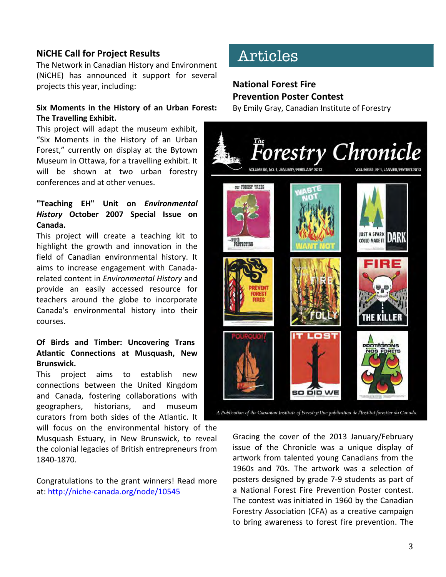## **NiCHE Call for Project Results**

The Network in Canadian History and Environment (NiCHE) has announced it support for several projects this year, including:

#### **Six Moments in the History of an Urban Forest: The Travelling Exhibit.**

This project will adapt the museum exhibit, "Six Moments in the History of an Urban Forest," currently on display at the Bytown Museum in Ottawa, for a travelling exhibit. It will be shown at two urban forestry conferences and at other venues.

#### **"Teaching EH" Unit on** *Environmental History*  **October 2007 Special Issue on Canada.**

This project will create a teaching kit to highlight the growth and innovation in the field of Canadian environmental history. It aims to increase engagement with Canadarelated content in *Environmental History* and provide an easily accessed resource for teachers around the globe to incorporate Canada's environmental history into their courses.

#### **Of Birds and Timber: Uncovering Trans Atlantic Connections at Musquash, New Brunswick.**

This project aims to establish new connections between the United Kingdom and Canada, fostering collaborations with geographers, historians, and museum curators from both sides of the Atlantic. It

will focus on the environmental history of the Musquash Estuary, in New Brunswick, to reveal the colonial legacies of British entrepreneurs from 1840-1870.

Congratulations to the grant winners! Read more at: http://niche-canada.org/node/10545

# Articles

# **National Forest Fire Prevention Poster Contest**

By Emily Gray, Canadian Institute of Forestry



A Publication of the Canadian Institute of Forestry/Une publication de l'Institut forestier du Canada

Gracing the cover of the 2013 January/February issue of the Chronicle was a unique display of artwork from talented young Canadians from the 1960s and 70s. The artwork was a selection of posters designed by grade 7-9 students as part of a National Forest Fire Prevention Poster contest. The contest was initiated in 1960 by the Canadian Forestry Association (CFA) as a creative campaign to bring awareness to forest fire prevention. The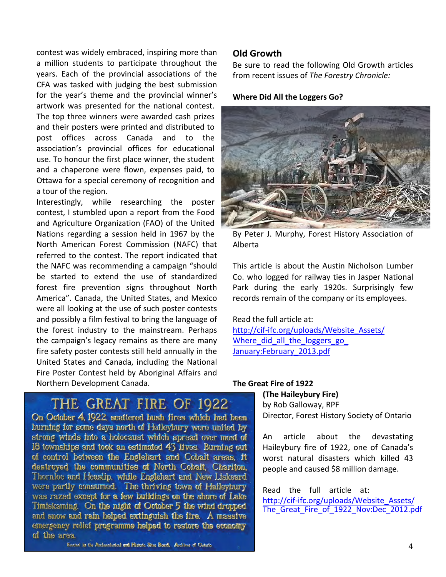contest was widely embraced, inspiring more than a million students to participate throughout the years. Each of the provincial associations of the CFA was tasked with judging the best submission for the year's theme and the provincial winner's artwork was presented for the national contest. The top three winners were awarded cash prizes and their posters were printed and distributed to post offices across Canada and to the association's provincial offices for educational use. To honour the first place winner, the student and a chaperone were flown, expenses paid, to Ottawa for a special ceremony of recognition and a tour of the region.

Interestingly, while researching the poster contest, I stumbled upon a report from the Food and Agriculture Organization (FAO) of the United Nations regarding a session held in 1967 by the North American Forest Commission (NAFC) that referred to the contest. The report indicated that the NAFC was recommending a campaign "should be started to extend the use of standardized forest fire prevention signs throughout North America". Canada, the United States, and Mexico were all looking at the use of such poster contests and possibly a film festival to bring the language of the forest industry to the mainstream. Perhaps the campaign's legacy remains as there are many fire safety poster contests still held annually in the United States and Canada, including the National Fire Poster Contest held by Aboriginal Affairs and Northern Development Canada.

#### **Old Growth**

Be sure to read the following Old Growth articles from recent issues of The Forestry Chronicle:

#### **Where Did All the Loggers Go?**



By Peter J. Murphy, Forest History Association of Alberta 

This article is about the Austin Nicholson Lumber Co. who logged for railway ties in Jasper National Park during the early 1920s. Surprisingly few records remain of the company or its employees.

Read the full article at:

[http://cif-ifc.org/uploads/Website\\_Assets/](http://cif-ifc.org/uploads/Website_Assets/Where_did_all_the_loggers_go_January:February_2013.pdf) Where did all the loggers go January:February\_2013.pdf

# THE GREAT FIRE OF 1922

On October 4, 1922, scattered bush fires which had been burning for some days north of Haileybury were united by strong winds into a holocaust which spread over most of 18 townships and took an estimated 43 lives. Burning out of control between the Englehart and Cobalt areas, it destroyed the communities of North Cobalt, Charlton, Thornloe and Heaslip, while Englehart and New Liskeard were partly consumed. The thriving town of Haileybury was razed except for a few buildings on the shore of Lake Timiskaming. On the night of October 5 the wind dropped and snow and rain helped extinguish the fire. A massive emergency relief programme helped to restore the economy of the area.

#### **The Great Fire of 1922**

**(The Haileybury Fire)** by Rob Galloway, RPF Director, Forest History Society of Ontario

An article about the devastating Haileybury fire of 1922, one of Canada's worst natural disasters which killed 43 people and caused \$8 million damage.

Read the full article at: http://cif-ifc.org/uploads/Website\_Assets/ The Great Fire of 1922 Nov:Dec 2012.pdf

Erected by the Archaeological and Historic Sites Board, Archives of Ontario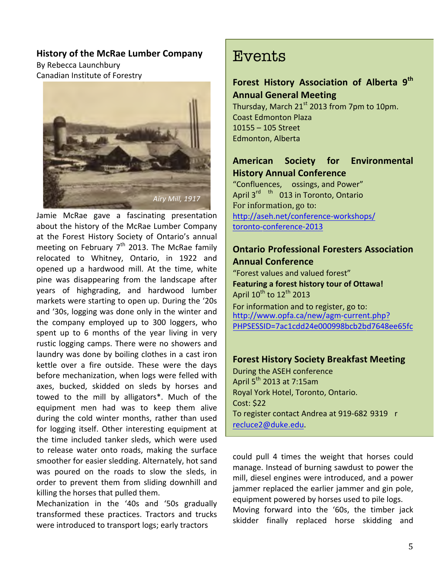#### **History of the McRae Lumber Company**

By Rebecca Launchbury Canadian Institute of Forestry



Jamie McRae gave a fascinating presentation about the history of the McRae Lumber Company at the Forest History Society of Ontario's annual meeting on February  $7<sup>th</sup>$  2013. The McRae family relocated to Whitney, Ontario, in 1922 and opened up a hardwood mill. At the time, white pine was disappearing from the landscape after years of highgrading, and hardwood lumber markets were starting to open up. During the '20s and '30s, logging was done only in the winter and the company employed up to 300 loggers, who spent up to 6 months of the year living in very rustic logging camps. There were no showers and laundry was done by boiling clothes in a cast iron kettle over a fire outside. These were the days before mechanization, when logs were felled with axes, bucked, skidded on sleds by horses and towed to the mill by alligators\*. Much of the equipment men had was to keep them alive during the cold winter months, rather than used for logging itself. Other interesting equipment at the time included tanker sleds, which were used to release water onto roads, making the surface smoother for easier sledding. Alternately, hot sand was poured on the roads to slow the sleds, in order to prevent them from sliding downhill and killing the horses that pulled them.

Mechanization in the '40s and '50s gradually transformed these practices. Tractors and trucks were introduced to transport logs; early tractors

# **Events**

# **Forest History Association of Alberta 9th Annual General Meeting**

Thursday, March  $21<sup>st</sup>$  2013 from 7pm to 10pm. **Coast Edmonton Plaza**  $10155 - 105$  Street Edmonton, Alberta 

# **American Society for Environmental History Annual Conference**

"Confluences, ossings, and Power" April 3<sup>rd th</sup> 013 in Toronto, Ontario For information, go to: [http://aseh.net/conference-workshops/](http://aseh.net/conference-workshops/toronto-conference-2013) toronto-conference-2013

#### **Ontario Professional Foresters Association Annual Conference**

"Forest values and valued forest" **Featuring a forest history tour of Ottawa!** April  $10^{th}$  to  $12^{th}$  2013 For information and to register, go to: http://www.opfa.ca/new/agm-current.php? [PHPSESSID=7ac1cdd24e000998bcb2bd7648ee65fc](http://www.opfa.ca/new/agm-current.php?PHPSESSID=7ac1cdd24e000998bcb2bd7648ee65fc)

## **Forest History Society Breakfast Meeting**

During the ASEH conference April  $5^{th}$  2013 at 7:15am Royal York Hotel, Toronto, Ontario. Cost: \$22 To register contact Andrea at 919-682 9319 r recluce2@duke.edu.

could pull 4 times the weight that horses could manage. Instead of burning sawdust to power the mill, diesel engines were introduced, and a power jammer replaced the earlier jammer and gin pole, equipment powered by horses used to pile logs.

Moving forward into the '60s, the timber jack skidder finally replaced horse skidding and